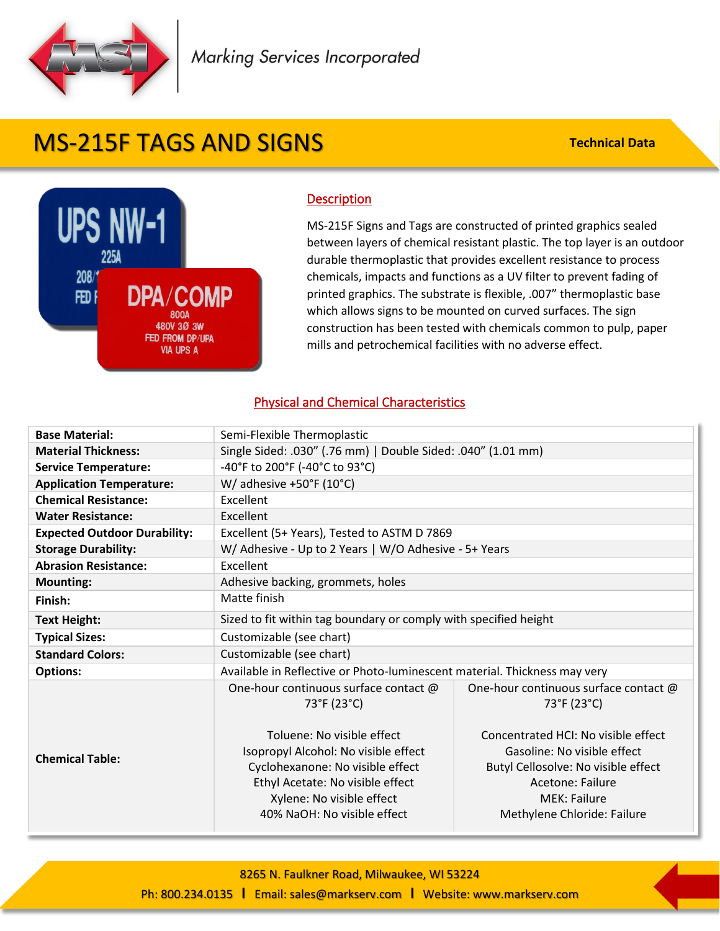

## MS-215F TAGS AND SIGNS

**Technical Data**



## **Description**

MS-215F Signs and Tags are constructed of printed graphics sealed between layers of chemical resistant plastic. The top layer is an outdoor durable thermoplastic that provides excellent resistance to process chemicals, impacts and functions as a UV filter to prevent fading of printed graphics. The substrate is flexible, .007" thermoplastic base which allows signs to be mounted on curved surfaces. The sign construction has been tested with chemicals common to pulp, paper mills and petrochemical facilities with no adverse effect.

## Physical and Chemical Characteristics

| <b>Base Material:</b>               | Semi-Flexible Thermoplastic                                                                                                                                                                            |                                                                                                                                                                                     |  |
|-------------------------------------|--------------------------------------------------------------------------------------------------------------------------------------------------------------------------------------------------------|-------------------------------------------------------------------------------------------------------------------------------------------------------------------------------------|--|
| <b>Material Thickness:</b>          | Single Sided: .030" (.76 mm)   Double Sided: .040" (1.01 mm)                                                                                                                                           |                                                                                                                                                                                     |  |
| <b>Service Temperature:</b>         | -40°F to 200°F (-40°C to 93°C)                                                                                                                                                                         |                                                                                                                                                                                     |  |
| <b>Application Temperature:</b>     | W/ adhesive $+50^{\circ}$ F (10 $^{\circ}$ C)                                                                                                                                                          |                                                                                                                                                                                     |  |
| <b>Chemical Resistance:</b>         | Excellent                                                                                                                                                                                              |                                                                                                                                                                                     |  |
| <b>Water Resistance:</b>            | Excellent                                                                                                                                                                                              |                                                                                                                                                                                     |  |
| <b>Expected Outdoor Durability:</b> | Excellent (5+ Years), Tested to ASTM D 7869                                                                                                                                                            |                                                                                                                                                                                     |  |
| <b>Storage Durability:</b>          | W/ Adhesive - Up to 2 Years   W/O Adhesive - 5+ Years                                                                                                                                                  |                                                                                                                                                                                     |  |
| <b>Abrasion Resistance:</b>         | Excellent                                                                                                                                                                                              |                                                                                                                                                                                     |  |
| <b>Mounting:</b>                    | Adhesive backing, grommets, holes                                                                                                                                                                      |                                                                                                                                                                                     |  |
| Finish:                             | Matte finish                                                                                                                                                                                           |                                                                                                                                                                                     |  |
| <b>Text Height:</b>                 | Sized to fit within tag boundary or comply with specified height                                                                                                                                       |                                                                                                                                                                                     |  |
| <b>Typical Sizes:</b>               | Customizable (see chart)                                                                                                                                                                               |                                                                                                                                                                                     |  |
| <b>Standard Colors:</b>             | Customizable (see chart)                                                                                                                                                                               |                                                                                                                                                                                     |  |
| <b>Options:</b>                     | Available in Reflective or Photo-luminescent material. Thickness may very                                                                                                                              |                                                                                                                                                                                     |  |
|                                     | One-hour continuous surface contact @<br>73°F (23°C)                                                                                                                                                   | One-hour continuous surface contact @<br>73°F (23°C)                                                                                                                                |  |
| <b>Chemical Table:</b>              | Toluene: No visible effect<br>Isopropyl Alcohol: No visible effect<br>Cyclohexanone: No visible effect<br>Ethyl Acetate: No visible effect<br>Xylene: No visible effect<br>40% NaOH: No visible effect | Concentrated HCI: No visible effect<br>Gasoline: No visible effect<br>Butyl Cellosolve: No visible effect<br>Acetone: Failure<br><b>MEK: Failure</b><br>Methylene Chloride: Failure |  |